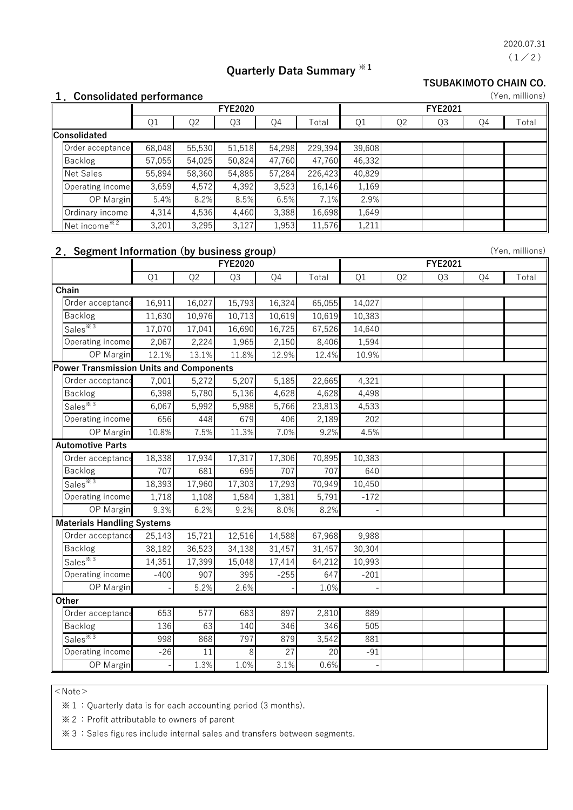$(1/2)$ 2020.07.31

# **Quarterly Data Summary ※1**

#### **TSUBAKIMOTO CHAIN CO.**

|  | 1. Consolidated performance |  |
|--|-----------------------------|--|
|--|-----------------------------|--|

| 1. Consolidated performance<br>(Yen, millions) |        |                |                |        |         |                |                |    |    |       |
|------------------------------------------------|--------|----------------|----------------|--------|---------|----------------|----------------|----|----|-------|
|                                                |        |                | <b>FYE2020</b> |        |         | <b>FYE2021</b> |                |    |    |       |
|                                                | Q1     | Q <sub>2</sub> | Q3             | Q4     | Total   | Q1             | Q <sub>2</sub> | Q3 | Q4 | Total |
| Consolidated                                   |        |                |                |        |         |                |                |    |    |       |
| Order acceptance                               | 68,048 | 55,530         | 51,518         | 54,298 | 229,394 | 39,608         |                |    |    |       |
| Backlog                                        | 57,055 | 54,025         | 50,824         | 47,760 | 47,760  | 46,332         |                |    |    |       |
| <b>Net Sales</b>                               | 55,894 | 58,360         | 54,885         | 57,284 | 226,423 | 40,829         |                |    |    |       |
| Operating income                               | 3,659  | 4,572          | 4,392          | 3,523  | 16,146  | 1,169          |                |    |    |       |
| <b>OP</b> Margin                               | 5.4%   | 8.2%           | 8.5%           | 6.5%   | 7.1%    | 2.9%           |                |    |    |       |
| Ordinary income                                | 4,314  | 4,536          | 4,460          | 3,388  | 16,698  | 1,649          |                |    |    |       |
| Net income $*^{2}$                             | 3,201  | 3,295          | 3,127          | 1,953  | 11,576  | 1,211          |                |    |    |       |

### **2.Segment Information (by business group)**

| 2. Segment Information (by business group) |                                         |                |        |                 |        |        |                |                |    | (Yen, millions) |
|--------------------------------------------|-----------------------------------------|----------------|--------|-----------------|--------|--------|----------------|----------------|----|-----------------|
|                                            | <b>FYE2020</b>                          |                |        |                 |        |        |                | <b>FYE2021</b> |    |                 |
|                                            | Q1                                      | Q <sub>2</sub> | Q3     | Q4              | Total  | Q1     | Q <sub>2</sub> | Q3             | Q4 | Total           |
| Chain                                      |                                         |                |        |                 |        |        |                |                |    |                 |
| Order acceptance                           | 16,911                                  | 16,027         | 15,793 | 16,324          | 65,055 | 14,027 |                |                |    |                 |
| Backlog                                    | 11,630                                  | 10,976         | 10,713 | 10,619          | 10,619 | 10,383 |                |                |    |                 |
| Sales <sup>*3</sup>                        | 17,070                                  | 17,041         | 16,690 | 16,725          | 67,526 | 14,640 |                |                |    |                 |
| Operating income                           | 2,067                                   | 2,224          | 1,965  | 2,150           | 8,406  | 1,594  |                |                |    |                 |
| OP Margin                                  | 12.1%                                   | 13.1%          | 11.8%  | 12.9%           | 12.4%  | 10.9%  |                |                |    |                 |
|                                            | Power Transmission Units and Components |                |        |                 |        |        |                |                |    |                 |
| Order acceptance                           | 7,001                                   | 5,272          | 5,207  | 5,185           | 22,665 | 4,321  |                |                |    |                 |
| Backlog                                    | 6,398                                   | 5,780          | 5,136  | 4,628           | 4,628  | 4,498  |                |                |    |                 |
| Sales <sup>*3</sup>                        | 6,067                                   | 5,992          | 5,988  | 5,766           | 23,813 | 4,533  |                |                |    |                 |
| Operating income                           | 656                                     | 448            | 679    | 406             | 2,189  | 202    |                |                |    |                 |
| OP Margin                                  | 10.8%                                   | 7.5%           | 11.3%  | 7.0%            | 9.2%   | 4.5%   |                |                |    |                 |
| <b>Automotive Parts</b>                    |                                         |                |        |                 |        |        |                |                |    |                 |
| Order acceptance                           | 18,338                                  | 17,934         | 17,317 | 17,306          | 70,895 | 10,383 |                |                |    |                 |
| Backlog                                    | 707                                     | 681            | 695    | 707             | 707    | 640    |                |                |    |                 |
| Sales <sup>*3</sup>                        | 18,393                                  | 17,960         | 17,303 | 17,293          | 70,949 | 10,450 |                |                |    |                 |
| Operating income                           | 1,718                                   | 1,108          | 1,584  | 1,381           | 5,791  | $-172$ |                |                |    |                 |
| OP Margin                                  | 9.3%                                    | 6.2%           | 9.2%   | 8.0%            | 8.2%   |        |                |                |    |                 |
| <b>Materials Handling Systems</b>          |                                         |                |        |                 |        |        |                |                |    |                 |
| Order acceptance                           | 25,143                                  | 15,721         | 12,516 | 14,588          | 67,968 | 9,988  |                |                |    |                 |
| Backlog                                    | 38,182                                  | 36,523         | 34,138 | 31,457          | 31,457 | 30,304 |                |                |    |                 |
| Sales <sup>*3</sup>                        | 14,351                                  | 17,399         | 15,048 | 17,414          | 64,212 | 10,993 |                |                |    |                 |
| Operating income                           | $-400$                                  | 907            | 395    | $-255$          | 647    | $-201$ |                |                |    |                 |
| OP Margin                                  |                                         | 5.2%           | 2.6%   |                 | 1.0%   |        |                |                |    |                 |
| Other                                      |                                         |                |        |                 |        |        |                |                |    |                 |
| Order acceptance                           | 653                                     | 577            | 683    | 897             | 2,810  | 889    |                |                |    |                 |
| Backlog                                    | 136                                     | 63             | 140    | 346             | 346    | 505    |                |                |    |                 |
| Sales <sup>*3</sup>                        | 998                                     | 868            | 797    | 879             | 3,542  | 881    |                |                |    |                 |
| Operating income                           | $-26$                                   | 11             | 8      | $\overline{27}$ | 20     | $-91$  |                |                |    |                 |
| OP Margin                                  |                                         | 1.3%           | 1.0%   | 3.1%            | 0.6%   |        |                |                |    |                 |

 $<$  Note  $>$ 

※1:Quarterly data is for each accounting period (3 months).

※2:Profit attributable to owners of parent

※3:Sales figures include internal sales and transfers between segments.